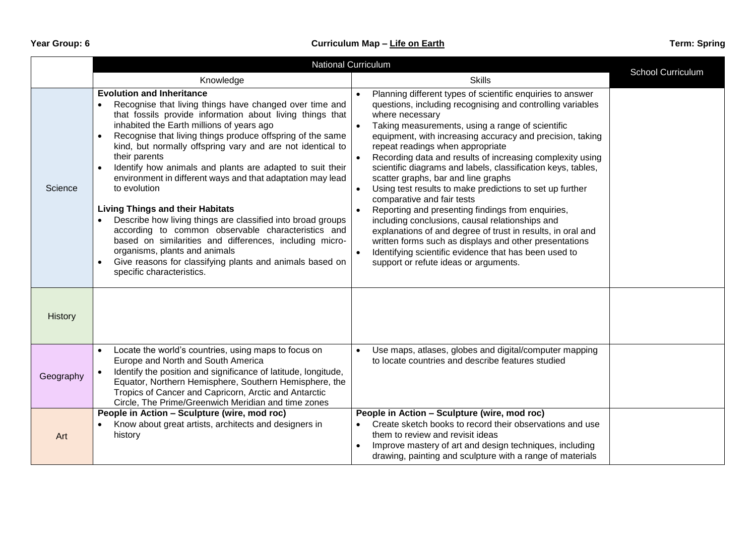|           | <b>National Curriculum</b>                                                                                                                                                                                                                                                                                                                                                                                                                                                                                                                                                                                                                                                                                                                                                                                                                                                                             |                                                                                                                                                                                                                                                                                                                                                                                                                                                                                                                                                                                                                                                                                                                                                                                                                                                                                                                |                   |
|-----------|--------------------------------------------------------------------------------------------------------------------------------------------------------------------------------------------------------------------------------------------------------------------------------------------------------------------------------------------------------------------------------------------------------------------------------------------------------------------------------------------------------------------------------------------------------------------------------------------------------------------------------------------------------------------------------------------------------------------------------------------------------------------------------------------------------------------------------------------------------------------------------------------------------|----------------------------------------------------------------------------------------------------------------------------------------------------------------------------------------------------------------------------------------------------------------------------------------------------------------------------------------------------------------------------------------------------------------------------------------------------------------------------------------------------------------------------------------------------------------------------------------------------------------------------------------------------------------------------------------------------------------------------------------------------------------------------------------------------------------------------------------------------------------------------------------------------------------|-------------------|
|           | Knowledge                                                                                                                                                                                                                                                                                                                                                                                                                                                                                                                                                                                                                                                                                                                                                                                                                                                                                              | <b>Skills</b>                                                                                                                                                                                                                                                                                                                                                                                                                                                                                                                                                                                                                                                                                                                                                                                                                                                                                                  | School Curriculum |
| Science   | <b>Evolution and Inheritance</b><br>Recognise that living things have changed over time and<br>$\bullet$<br>that fossils provide information about living things that<br>inhabited the Earth millions of years ago<br>Recognise that living things produce offspring of the same<br>$\bullet$<br>kind, but normally offspring vary and are not identical to<br>their parents<br>Identify how animals and plants are adapted to suit their<br>$\bullet$<br>environment in different ways and that adaptation may lead<br>to evolution<br><b>Living Things and their Habitats</b><br>Describe how living things are classified into broad groups<br>according to common observable characteristics and<br>based on similarities and differences, including micro-<br>organisms, plants and animals<br>Give reasons for classifying plants and animals based on<br>$\bullet$<br>specific characteristics. | Planning different types of scientific enquiries to answer<br>questions, including recognising and controlling variables<br>where necessary<br>Taking measurements, using a range of scientific<br>equipment, with increasing accuracy and precision, taking<br>repeat readings when appropriate<br>Recording data and results of increasing complexity using<br>scientific diagrams and labels, classification keys, tables,<br>scatter graphs, bar and line graphs<br>Using test results to make predictions to set up further<br>$\bullet$<br>comparative and fair tests<br>Reporting and presenting findings from enquiries,<br>including conclusions, causal relationships and<br>explanations of and degree of trust in results, in oral and<br>written forms such as displays and other presentations<br>Identifying scientific evidence that has been used to<br>support or refute ideas or arguments. |                   |
| History   |                                                                                                                                                                                                                                                                                                                                                                                                                                                                                                                                                                                                                                                                                                                                                                                                                                                                                                        |                                                                                                                                                                                                                                                                                                                                                                                                                                                                                                                                                                                                                                                                                                                                                                                                                                                                                                                |                   |
| Geography | Locate the world's countries, using maps to focus on<br>Europe and North and South America<br>Identify the position and significance of latitude, longitude,<br>Equator, Northern Hemisphere, Southern Hemisphere, the<br>Tropics of Cancer and Capricorn, Arctic and Antarctic<br>Circle, The Prime/Greenwich Meridian and time zones                                                                                                                                                                                                                                                                                                                                                                                                                                                                                                                                                                 | Use maps, atlases, globes and digital/computer mapping<br>to locate countries and describe features studied                                                                                                                                                                                                                                                                                                                                                                                                                                                                                                                                                                                                                                                                                                                                                                                                    |                   |
| Art       | People in Action - Sculpture (wire, mod roc)<br>Know about great artists, architects and designers in<br>history                                                                                                                                                                                                                                                                                                                                                                                                                                                                                                                                                                                                                                                                                                                                                                                       | People in Action - Sculpture (wire, mod roc)<br>Create sketch books to record their observations and use<br>them to review and revisit ideas<br>Improve mastery of art and design techniques, including<br>drawing, painting and sculpture with a range of materials                                                                                                                                                                                                                                                                                                                                                                                                                                                                                                                                                                                                                                           |                   |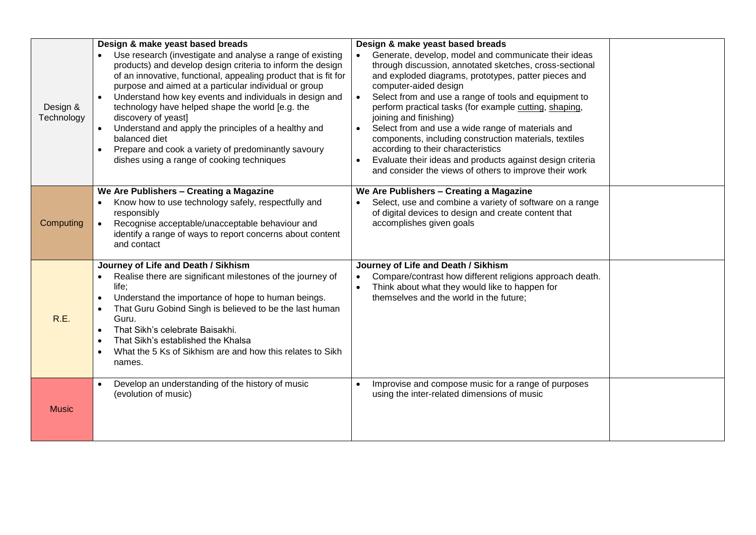| Design &<br>Technology | Design & make yeast based breads<br>Use research (investigate and analyse a range of existing<br>products) and develop design criteria to inform the design<br>of an innovative, functional, appealing product that is fit for<br>purpose and aimed at a particular individual or group<br>Understand how key events and individuals in design and<br>technology have helped shape the world [e.g. the<br>discovery of yeast]<br>Understand and apply the principles of a healthy and<br>balanced diet<br>Prepare and cook a variety of predominantly savoury<br>dishes using a range of cooking techniques | Design & make yeast based breads<br>Generate, develop, model and communicate their ideas<br>through discussion, annotated sketches, cross-sectional<br>and exploded diagrams, prototypes, patter pieces and<br>computer-aided design<br>Select from and use a range of tools and equipment to<br>perform practical tasks (for example cutting, shaping,<br>joining and finishing)<br>Select from and use a wide range of materials and<br>components, including construction materials, textiles<br>according to their characteristics<br>Evaluate their ideas and products against design criteria<br>and consider the views of others to improve their work |  |
|------------------------|-------------------------------------------------------------------------------------------------------------------------------------------------------------------------------------------------------------------------------------------------------------------------------------------------------------------------------------------------------------------------------------------------------------------------------------------------------------------------------------------------------------------------------------------------------------------------------------------------------------|---------------------------------------------------------------------------------------------------------------------------------------------------------------------------------------------------------------------------------------------------------------------------------------------------------------------------------------------------------------------------------------------------------------------------------------------------------------------------------------------------------------------------------------------------------------------------------------------------------------------------------------------------------------|--|
| Computing              | We Are Publishers - Creating a Magazine<br>Know how to use technology safely, respectfully and<br>$\bullet$<br>responsibly<br>Recognise acceptable/unacceptable behaviour and<br>identify a range of ways to report concerns about content<br>and contact                                                                                                                                                                                                                                                                                                                                                   | We Are Publishers - Creating a Magazine<br>Select, use and combine a variety of software on a range<br>of digital devices to design and create content that<br>accomplishes given goals                                                                                                                                                                                                                                                                                                                                                                                                                                                                       |  |
| R.E.                   | Journey of Life and Death / Sikhism<br>Realise there are significant milestones of the journey of<br>life;<br>Understand the importance of hope to human beings.<br>$\bullet$<br>That Guru Gobind Singh is believed to be the last human<br>Guru.<br>That Sikh's celebrate Baisakhi.<br>$\bullet$<br>That Sikh's established the Khalsa<br>$\bullet$<br>What the 5 Ks of Sikhism are and how this relates to Sikh<br>$\bullet$<br>names.                                                                                                                                                                    | Journey of Life and Death / Sikhism<br>Compare/contrast how different religions approach death.<br>$\bullet$<br>Think about what they would like to happen for<br>themselves and the world in the future;                                                                                                                                                                                                                                                                                                                                                                                                                                                     |  |
| <b>Music</b>           | Develop an understanding of the history of music<br>(evolution of music)                                                                                                                                                                                                                                                                                                                                                                                                                                                                                                                                    | Improvise and compose music for a range of purposes<br>using the inter-related dimensions of music                                                                                                                                                                                                                                                                                                                                                                                                                                                                                                                                                            |  |